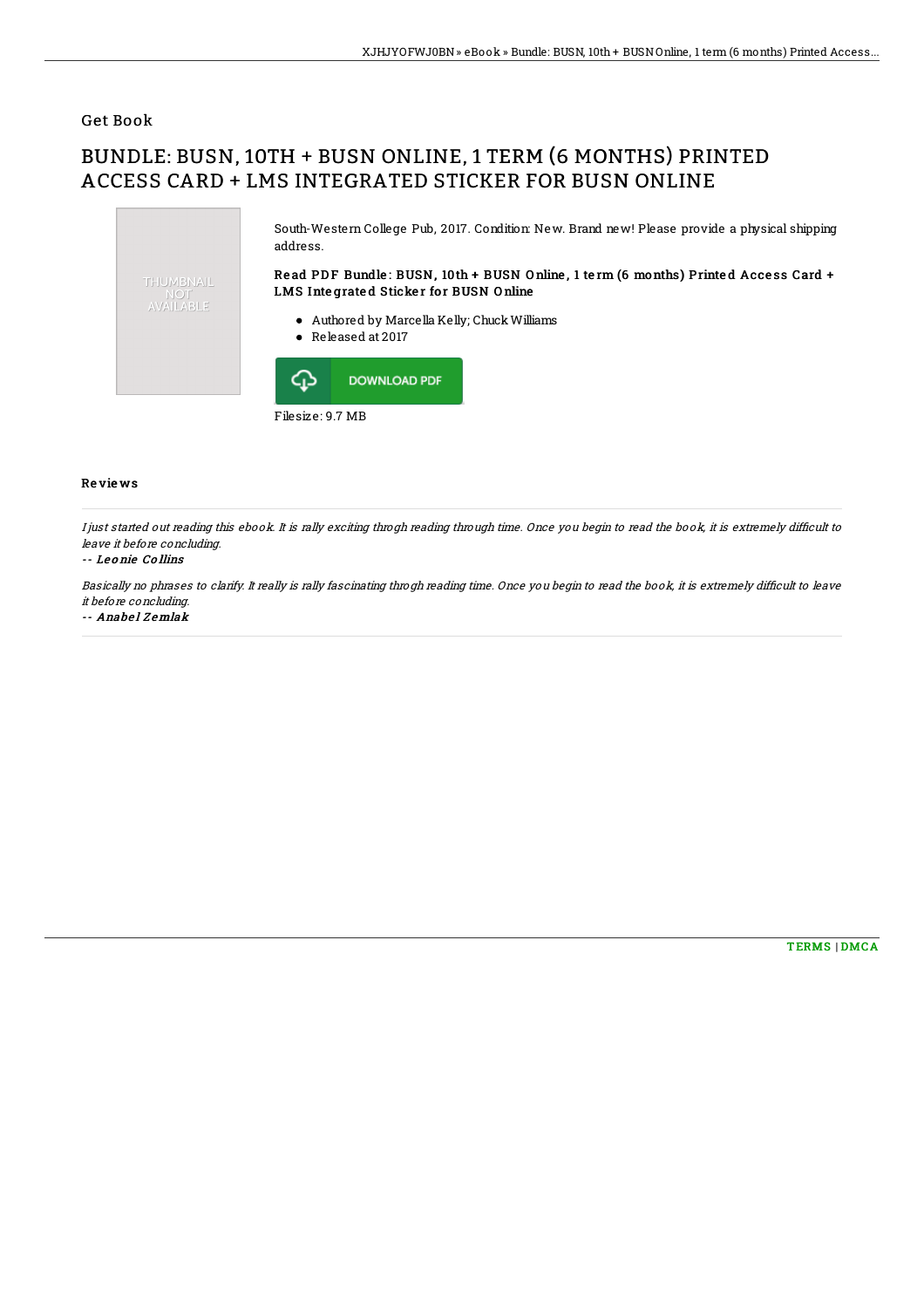## Get Book

# BUNDLE: BUSN, 10TH + BUSN ONLINE, 1 TERM (6 MONTHS) PRINTED ACCESS CARD + LMS INTEGRATED STICKER FOR BUSN ONLINE



I just started out reading this ebook. It is rally exciting throgh reading through time. Once you begin to read the book, it is extremely difficult to leave it before concluding.

### -- Le o nie Co llins

Re vie ws

Basically no phrases to clarify. It really is rally fascinating throgh reading time. Once you begin to read the book, it is extremely difficult to leave it before concluding.

-- Anabel Zemlak